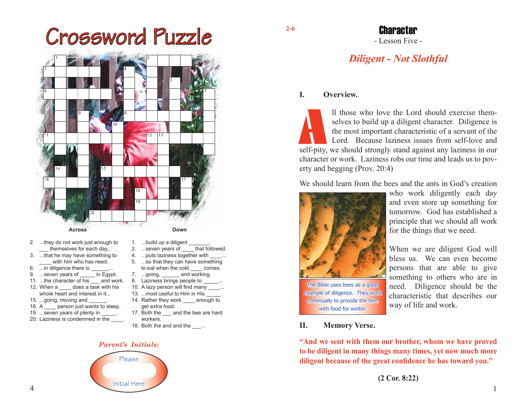# Crossword Puzzle **2-6**



- 2. ...they do not work just enough to themselves for each day...
- 3. ...that he may have something to with him who has need.
- 6. ... in diligence there is
- 9. ...seven years of \_\_\_\_\_ in Egypt.
- 11. ...the character of his and work.
- 12. When a \_\_\_\_ does a task with his whole heart and interest in it...
- 15. ...going, moving and
- 16. A **person just wants to sleep.**
- 19. ... seven years of plenty in
- 20. Laziness is condemned in the \_\_\_\_.
- 1. ...build up a diligent
- 2. ...seven years of that followed.
- 4. ... puts laziness together with
- 5. ...so that they can have something to eat when the cold comes.
- 7. ...going, and working.
- 8. Laziness brings people to \_
- 10. A lazy person will find many \_\_\_\_\_... 13. ...most useful to Him in His
- 14. Rather they work enough to
- get extra food.
- 17. Both the and the bee are hard workers.
- 18. Both the and and the ....

#### *Parent's Initials:*



# - Lesson Five - Character

# *Diligent - Not Slothful*

## **I. Overview.**

Il those who love the Lord should exercise them-<br>selves to build up a diligent character. Diligence is<br>the most important characteristic of a servant of the<br>Lord. Because laziness issues from self-love and<br>self-pity, we sh selves to build up a diligent character. Diligence is the most important characteristic of a servant of the Lord. Because laziness issues from self-love and character or work. Laziness robs our time and leads us to poverty and begging (Prov. 20:4)

We should learn from the bees and the ants in God's creation



The Bible uses bees as a good example of diligence. They work continually to provide the hive with food for winter.

who work diligently each day and even store up something for tomorrow. God has established a principle that we should all work for the things that we need.

When we are diligent God will bless us. We can even become persons that are able to give something to others who are in need. Diligence should be the characteristic that describes our way of life and work.

#### **II. Memory Verse.**

**"And we sent with them our brother, whom we have proved to be diligent in many things many times, yet now much more diligent because of the great confidence he has toward you."**

**(2 Cor. 8:22)**